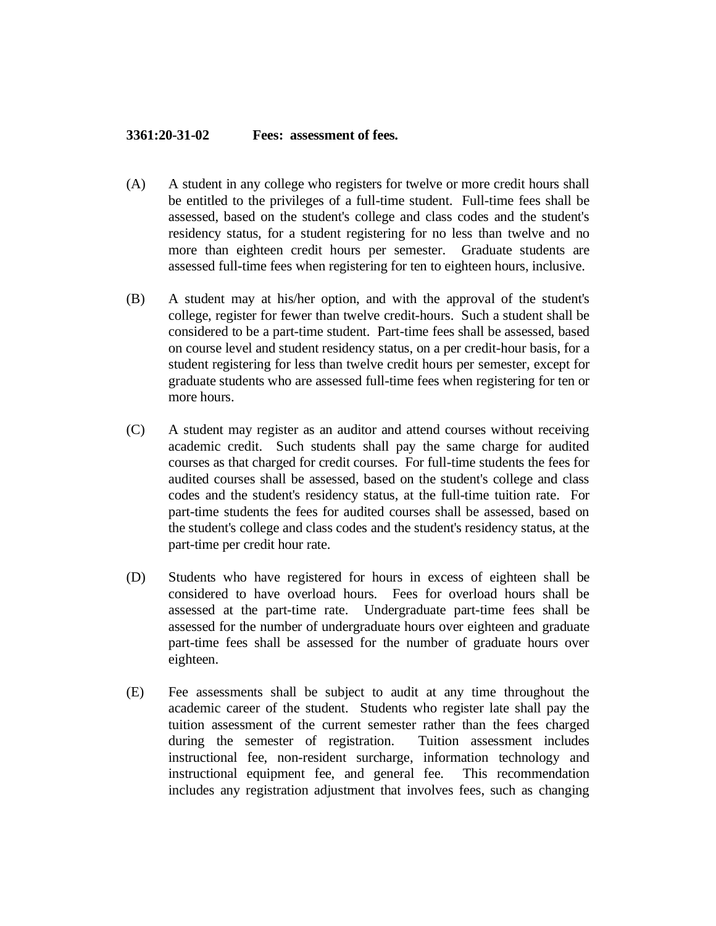## **3361:20-31-02 Fees: assessment of fees.**

- (A) A student in any college who registers for twelve or more credit hours shall be entitled to the privileges of a full-time student. Full-time fees shall be assessed, based on the student's college and class codes and the student's residency status, for a student registering for no less than twelve and no more than eighteen credit hours per semester. Graduate students are assessed full-time fees when registering for ten to eighteen hours, inclusive.
- (B) A student may at his/her option, and with the approval of the student's college, register for fewer than twelve credit-hours. Such a student shall be considered to be a part-time student. Part-time fees shall be assessed, based on course level and student residency status, on a per credit-hour basis, for a student registering for less than twelve credit hours per semester, except for graduate students who are assessed full-time fees when registering for ten or more hours.
- (C) A student may register as an auditor and attend courses without receiving academic credit. Such students shall pay the same charge for audited courses as that charged for credit courses. For full-time students the fees for audited courses shall be assessed, based on the student's college and class codes and the student's residency status, at the full-time tuition rate. For part-time students the fees for audited courses shall be assessed, based on the student's college and class codes and the student's residency status, at the part-time per credit hour rate.
- (D) Students who have registered for hours in excess of eighteen shall be considered to have overload hours. Fees for overload hours shall be assessed at the part-time rate. Undergraduate part-time fees shall be assessed for the number of undergraduate hours over eighteen and graduate part-time fees shall be assessed for the number of graduate hours over eighteen.
- (E) Fee assessments shall be subject to audit at any time throughout the academic career of the student. Students who register late shall pay the tuition assessment of the current semester rather than the fees charged during the semester of registration. Tuition assessment includes instructional fee, non-resident surcharge, information technology and instructional equipment fee, and general fee. This recommendation includes any registration adjustment that involves fees, such as changing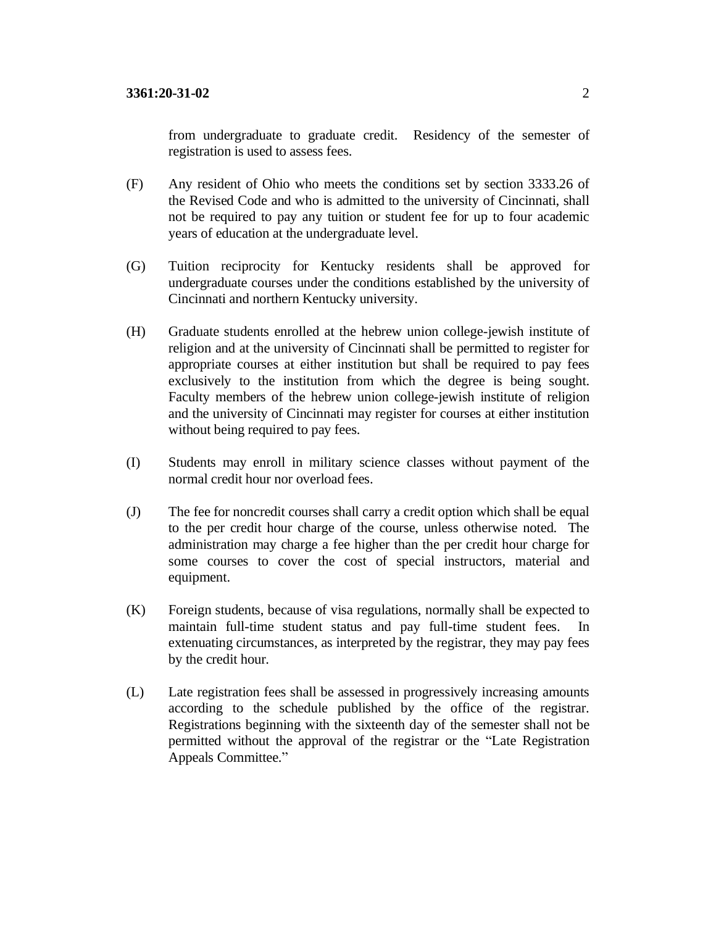from undergraduate to graduate credit. Residency of the semester of registration is used to assess fees.

- (F) Any resident of Ohio who meets the conditions set by section 3333.26 of the Revised Code and who is admitted to the university of Cincinnati, shall not be required to pay any tuition or student fee for up to four academic years of education at the undergraduate level.
- (G) Tuition reciprocity for Kentucky residents shall be approved for undergraduate courses under the conditions established by the university of Cincinnati and northern Kentucky university.
- (H) Graduate students enrolled at the hebrew union college-jewish institute of religion and at the university of Cincinnati shall be permitted to register for appropriate courses at either institution but shall be required to pay fees exclusively to the institution from which the degree is being sought. Faculty members of the hebrew union college-jewish institute of religion and the university of Cincinnati may register for courses at either institution without being required to pay fees.
- (I) Students may enroll in military science classes without payment of the normal credit hour nor overload fees.
- (J) The fee for noncredit courses shall carry a credit option which shall be equal to the per credit hour charge of the course, unless otherwise noted. The administration may charge a fee higher than the per credit hour charge for some courses to cover the cost of special instructors, material and equipment.
- (K) Foreign students, because of visa regulations, normally shall be expected to maintain full-time student status and pay full-time student fees. In extenuating circumstances, as interpreted by the registrar, they may pay fees by the credit hour.
- (L) Late registration fees shall be assessed in progressively increasing amounts according to the schedule published by the office of the registrar. Registrations beginning with the sixteenth day of the semester shall not be permitted without the approval of the registrar or the "Late Registration Appeals Committee."